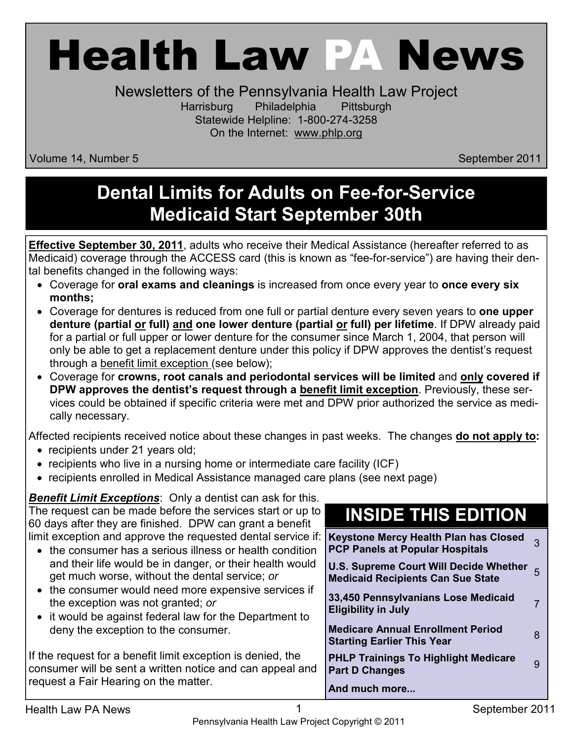# Health Law PA News

Newsletters of the Pennsylvania Health Law Project Harrisburg Philadelphia Pittsburgh Statewide Helpline: 1-800-274-3258 On the Internet: www.phlp.org

Volume 14, Number 5 September 2011 and September 2011

#### **Dental Limits for Adults on Fee-for-Service Medicaid Start September 30th**

**Effective September 30, 2011**, adults who receive their Medical Assistance (hereafter referred to as Medicaid) coverage through the ACCESS card (this is known as "fee-for-service") are having their dental benefits changed in the following ways:

- Coverage for **oral exams and cleanings** is increased from once every year to **once every six months;**
- Coverage for dentures is reduced from one full or partial denture every seven years to **one upper denture (partial or full) and one lower denture (partial or full) per lifetime**. If DPW already paid for a partial or full upper or lower denture for the consumer since March 1, 2004, that person will only be able to get a replacement denture under this policy if DPW approves the dentist's request through a benefit limit exception (see below);
- Coverage for **crowns, root canals and periodontal services will be limited** and **only covered if DPW approves the dentist's request through a benefit limit exception**. Previously, these services could be obtained if specific criteria were met and DPW prior authorized the service as medically necessary.

Affected recipients received notice about these changes in past weeks. The changes **do not apply to:**

- recipients under 21 years old;
- recipients who live in a nursing home or intermediate care facility (ICF)
- recipients enrolled in Medical Assistance managed care plans (see next page)

*Benefit Limit Exceptions*: Only a dentist can ask for this. The request can be made before the services start or up to 60 days after they are finished. DPW can grant a benefit limit exception and approve the requested dental service if:

- the consumer has a serious illness or health condition and their life would be in danger, or their health would get much worse, without the dental service; *or*
- the consumer would need more expensive services if the exception was not granted; *or*
- it would be against federal law for the Department to deny the exception to the consumer.

If the request for a benefit limit exception is denied, the consumer will be sent a written notice and can appeal and request a Fair Hearing on the matter.

### **INSIDE THIS EDITION**

**Keystone Mercy Health Plan has Closed Reystone Mercy Health Plan has Closed** 3<br>PCP Panels at Popular Hospitals **U.S. Supreme Court Will Decide Whether Medicaid Recipients Can Sue State** <sup>5</sup> **33,450 Pennsylvanians Lose Medicaid Eligibility in July** Pullants Lose Medicald Property of Talacan<br>Eligibility in July **Medicare Annual Enrollment Period Starting Earlier This Year 19th Carlier Control Control Control Control Control Control Control Control Control C**<br>Starting Earlier This Year **PHLP Trainings To Highlight Medicare Part D Changes** To Highlight Medical e g<br>**Part D Changes** 

#### **And much more...**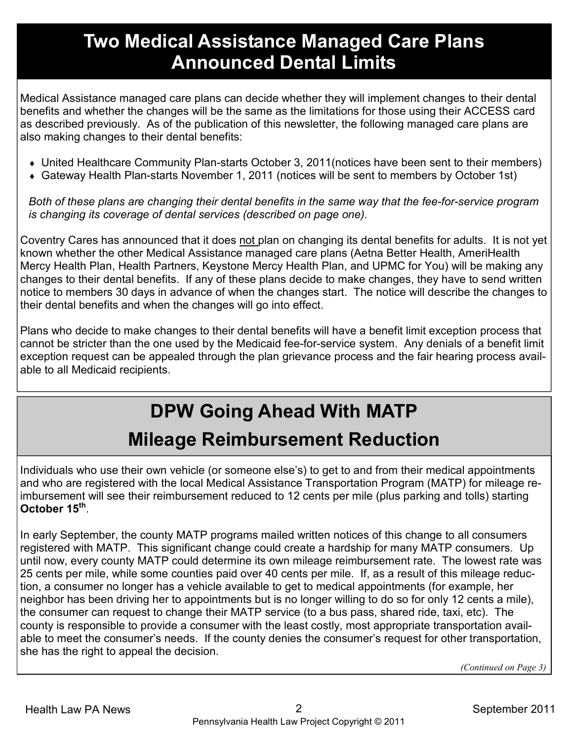#### **Two Medical Assistance Managed Care Plans Announced Dental Limits**

Medical Assistance managed care plans can decide whether they will implement changes to their dental benefits and whether the changes will be the same as the limitations for those using their ACCESS card as described previously. As of the publication of this newsletter, the following managed care plans are also making changes to their dental benefits:

- ♦ United Healthcare Community Plan-starts October 3, 2011(notices have been sent to their members)
- ♦ Gateway Health Plan-starts November 1, 2011 (notices will be sent to members by October 1st)

*Both of these plans are changing their dental benefits in the same way that the fee-for-service program is changing its coverage of dental services (described on page one).* 

Coventry Cares has announced that it does not plan on changing its dental benefits for adults. It is not yet known whether the other Medical Assistance managed care plans (Aetna Better Health, AmeriHealth Mercy Health Plan, Health Partners, Keystone Mercy Health Plan, and UPMC for You) will be making any changes to their dental benefits. If any of these plans decide to make changes, they have to send written notice to members 30 days in advance of when the changes start. The notice will describe the changes to their dental benefits and when the changes will go into effect.

Plans who decide to make changes to their dental benefits will have a benefit limit exception process that cannot be stricter than the one used by the Medicaid fee-for-service system. Any denials of a benefit limit exception request can be appealed through the plan grievance process and the fair hearing process available to all Medicaid recipients.

## **DPW Going Ahead With MATP Mileage Reimbursement Reduction**

Individuals who use their own vehicle (or someone else's) to get to and from their medical appointments and who are registered with the local Medical Assistance Transportation Program (MATP) for mileage reimbursement will see their reimbursement reduced to 12 cents per mile (plus parking and tolls) starting **October 15th** .

In early September, the county MATP programs mailed written notices of this change to all consumers registered with MATP. This significant change could create a hardship for many MATP consumers. Up until now, every county MATP could determine its own mileage reimbursement rate. The lowest rate was 25 cents per mile, while some counties paid over 40 cents per mile. If, as a result of this mileage reduction, a consumer no longer has a vehicle available to get to medical appointments (for example, her neighbor has been driving her to appointments but is no longer willing to do so for only 12 cents a mile), the consumer can request to change their MATP service (to a bus pass, shared ride, taxi, etc). The county is responsible to provide a consumer with the least costly, most appropriate transportation available to meet the consumer's needs. If the county denies the consumer's request for other transportation, she has the right to appeal the decision.

*(Continued on Page 3)*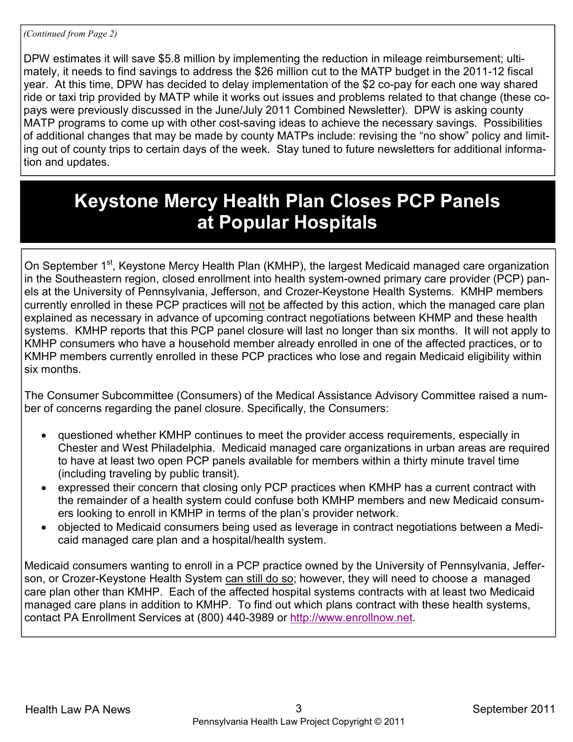DPW estimates it will save \$5.8 million by implementing the reduction in mileage reimbursement; ultimately, it needs to find savings to address the \$26 million cut to the MATP budget in the 2011-12 fiscal year. At this time, DPW has decided to delay implementation of the \$2 co-pay for each one way shared ride or taxi trip provided by MATP while it works out issues and problems related to that change (these copays were previously discussed in the June/July 2011 Combined Newsletter). DPW is asking county MATP programs to come up with other cost-saving ideas to achieve the necessary savings. Possibilities of additional changes that may be made by county MATPs include: revising the "no show" policy and limiting out of county trips to certain days of the week. Stay tuned to future newsletters for additional information and updates.

#### **Keystone Mercy Health Plan Closes PCP Panels at Popular Hospitals**

On September 1<sup>st</sup>, Keystone Mercy Health Plan (KMHP), the largest Medicaid managed care organization in the Southeastern region, closed enrollment into health system-owned primary care provider (PCP) panels at the University of Pennsylvania, Jefferson, and Crozer-Keystone Health Systems. KMHP members currently enrolled in these PCP practices will not be affected by this action, which the managed care plan explained as necessary in advance of upcoming contract negotiations between KHMP and these health systems. KMHP reports that this PCP panel closure will last no longer than six months. It will not apply to KMHP consumers who have a household member already enrolled in one of the affected practices, or to KMHP members currently enrolled in these PCP practices who lose and regain Medicaid eligibility within six months.

The Consumer Subcommittee (Consumers) of the Medical Assistance Advisory Committee raised a number of concerns regarding the panel closure. Specifically, the Consumers:

- questioned whether KMHP continues to meet the provider access requirements, especially in Chester and West Philadelphia. Medicaid managed care organizations in urban areas are required to have at least two open PCP panels available for members within a thirty minute travel time (including traveling by public transit).
- expressed their concern that closing only PCP practices when KMHP has a current contract with the remainder of a health system could confuse both KMHP members and new Medicaid consumers looking to enroll in KMHP in terms of the plan's provider network.
- objected to Medicaid consumers being used as leverage in contract negotiations between a Medicaid managed care plan and a hospital/health system.

Medicaid consumers wanting to enroll in a PCP practice owned by the University of Pennsylvania, Jefferson, or Crozer-Keystone Health System can still do so; however, they will need to choose a managed care plan other than KMHP. Each of the affected hospital systems contracts with at least two Medicaid managed care plans in addition to KMHP. To find out which plans contract with these health systems, contact PA Enrollment Services at (800) 440-3989 or http://www.enrollnow.net.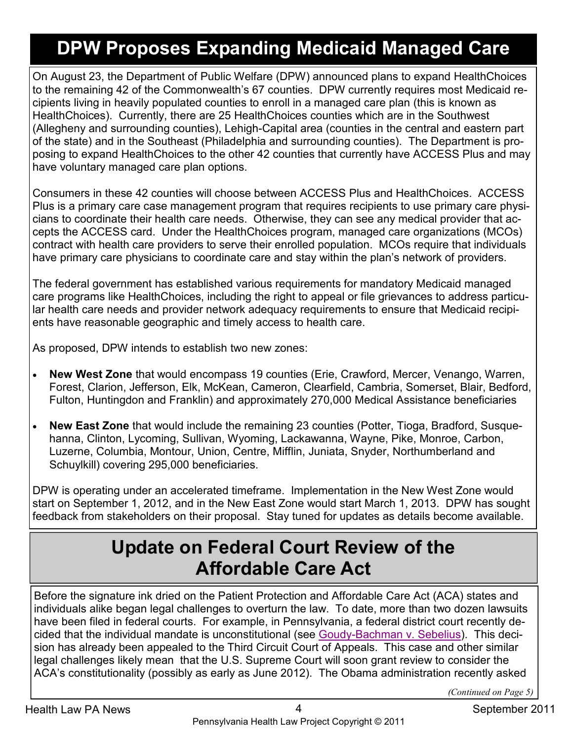## **DPW Proposes Expanding Medicaid Managed Care**

On August 23, the Department of Public Welfare (DPW) announced plans to expand HealthChoices to the remaining 42 of the Commonwealth's 67 counties. DPW currently requires most Medicaid recipients living in heavily populated counties to enroll in a managed care plan (this is known as HealthChoices). Currently, there are 25 HealthChoices counties which are in the Southwest (Allegheny and surrounding counties), Lehigh-Capital area (counties in the central and eastern part of the state) and in the Southeast (Philadelphia and surrounding counties). The Department is proposing to expand HealthChoices to the other 42 counties that currently have ACCESS Plus and may have voluntary managed care plan options.

Consumers in these 42 counties will choose between ACCESS Plus and HealthChoices. ACCESS Plus is a primary care case management program that requires recipients to use primary care physicians to coordinate their health care needs. Otherwise, they can see any medical provider that accepts the ACCESS card. Under the HealthChoices program, managed care organizations (MCOs) contract with health care providers to serve their enrolled population. MCOs require that individuals have primary care physicians to coordinate care and stay within the plan's network of providers.

The federal government has established various requirements for mandatory Medicaid managed care programs like HealthChoices, including the right to appeal or file grievances to address particular health care needs and provider network adequacy requirements to ensure that Medicaid recipients have reasonable geographic and timely access to health care.

As proposed, DPW intends to establish two new zones:

- **New West Zone** that would encompass 19 counties (Erie, Crawford, Mercer, Venango, Warren, Forest, Clarion, Jefferson, Elk, McKean, Cameron, Clearfield, Cambria, Somerset, Blair, Bedford, Fulton, Huntingdon and Franklin) and approximately 270,000 Medical Assistance beneficiaries
- **New East Zone** that would include the remaining 23 counties (Potter, Tioga, Bradford, Susquehanna, Clinton, Lycoming, Sullivan, Wyoming, Lackawanna, Wayne, Pike, Monroe, Carbon, Luzerne, Columbia, Montour, Union, Centre, Mifflin, Juniata, Snyder, Northumberland and Schuylkill) covering 295,000 beneficiaries.

DPW is operating under an accelerated timeframe. Implementation in the New West Zone would start on September 1, 2012, and in the New East Zone would start March 1, 2013. DPW has sought feedback from stakeholders on their proposal. Stay tuned for updates as details become available.

#### **Update on Federal Court Review of the Affordable Care Act**

Before the signature ink dried on the Patient Protection and Affordable Care Act (ACA) states and individuals alike began legal challenges to overturn the law. To date, more than two dozen lawsuits have been filed in federal courts. For example, in Pennsylvania, a federal district court recently decided that the individual mandate is unconstitutional (see Goudy-Bachman v. Sebelius). This decision has already been appealed to the Third Circuit Court of Appeals. This case and other similar legal challenges likely mean that the U.S. Supreme Court will soon grant review to consider the ACA's constitutionality (possibly as early as June 2012). The Obama administration recently asked

*(Continued on Page 5)*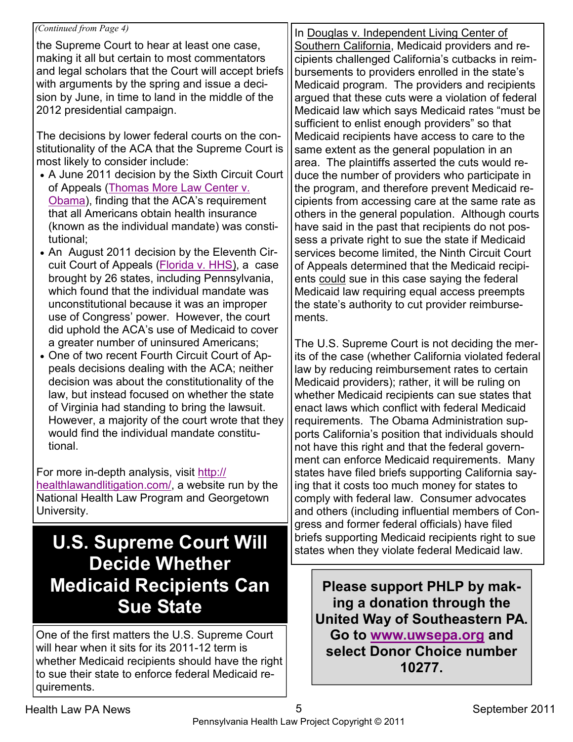#### *(Continued from Page 4)*

the Supreme Court to hear at least one case, making it all but certain to most commentators and legal scholars that the Court will accept briefs with arguments by the spring and issue a decision by June, in time to land in the middle of the 2012 presidential campaign.

The decisions by lower federal courts on the constitutionality of the ACA that the Supreme Court is most likely to consider include:

- A June 2011 decision by the Sixth Circuit Court of Appeals (Thomas More Law Center v. Obama), finding that the ACA's requirement that all Americans obtain health insurance (known as the individual mandate) was constitutional;
- An August 2011 decision by the Eleventh Circuit Court of Appeals (Florida v. HHS), a case brought by 26 states, including Pennsylvania, which found that the individual mandate was unconstitutional because it was an improper use of Congress' power. However, the court did uphold the ACA's use of Medicaid to cover a greater number of uninsured Americans;
- One of two recent Fourth Circuit Court of Appeals decisions dealing with the ACA; neither decision was about the constitutionality of the law, but instead focused on whether the state of Virginia had standing to bring the lawsuit. However, a majority of the court wrote that they would find the individual mandate constitutional.

For more in-depth analysis, visit http:// healthlawandlitigation.com/, a website run by the National Health Law Program and Georgetown University.

#### **U.S. Supreme Court Will Decide Whether Medicaid Recipients Can Sue State**

One of the first matters the U.S. Supreme Court will hear when it sits for its 2011-12 term is whether Medicaid recipients should have the right to sue their state to enforce federal Medicaid requirements.

In Douglas v. Independent Living Center of Southern California, Medicaid providers and recipients challenged California's cutbacks in reimbursements to providers enrolled in the state's Medicaid program. The providers and recipients argued that these cuts were a violation of federal Medicaid law which says Medicaid rates "must be sufficient to enlist enough providers" so that Medicaid recipients have access to care to the same extent as the general population in an area. The plaintiffs asserted the cuts would reduce the number of providers who participate in the program, and therefore prevent Medicaid recipients from accessing care at the same rate as others in the general population. Although courts have said in the past that recipients do not possess a private right to sue the state if Medicaid services become limited, the Ninth Circuit Court of Appeals determined that the Medicaid recipients could sue in this case saying the federal Medicaid law requiring equal access preempts the state's authority to cut provider reimbursements.

The U.S. Supreme Court is not deciding the merits of the case (whether California violated federal law by reducing reimbursement rates to certain Medicaid providers); rather, it will be ruling on whether Medicaid recipients can sue states that enact laws which conflict with federal Medicaid requirements. The Obama Administration supports California's position that individuals should not have this right and that the federal government can enforce Medicaid requirements. Many states have filed briefs supporting California saying that it costs too much money for states to comply with federal law. Consumer advocates and others (including influential members of Congress and former federal officials) have filed briefs supporting Medicaid recipients right to sue states when they violate federal Medicaid law.

**Please support PHLP by making a donation through the United Way of Southeastern PA. Go to www.uwsepa.org and select Donor Choice number 10277.**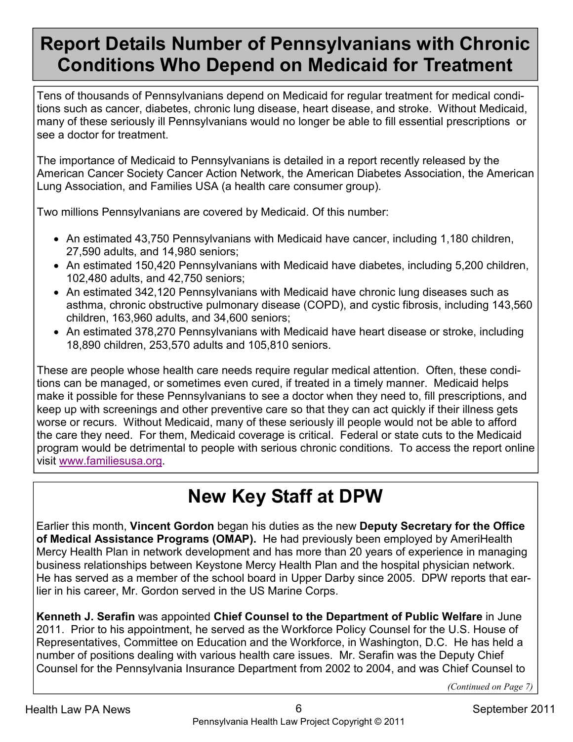#### **Report Details Number of Pennsylvanians with Chronic Conditions Who Depend on Medicaid for Treatment**

Tens of thousands of Pennsylvanians depend on Medicaid for regular treatment for medical conditions such as cancer, diabetes, chronic lung disease, heart disease, and stroke. Without Medicaid, many of these seriously ill Pennsylvanians would no longer be able to fill essential prescriptions or see a doctor for treatment.

The importance of Medicaid to Pennsylvanians is detailed in a report recently released by the American Cancer Society Cancer Action Network, the American Diabetes Association, the American Lung Association, and Families USA (a health care consumer group).

Two millions Pennsylvanians are covered by Medicaid. Of this number:

- An estimated 43,750 Pennsylvanians with Medicaid have cancer, including 1,180 children, 27,590 adults, and 14,980 seniors;
- An estimated 150,420 Pennsylvanians with Medicaid have diabetes, including 5,200 children, 102,480 adults, and 42,750 seniors;
- An estimated 342,120 Pennsylvanians with Medicaid have chronic lung diseases such as asthma, chronic obstructive pulmonary disease (COPD), and cystic fibrosis, including 143,560 children, 163,960 adults, and 34,600 seniors;
- An estimated 378,270 Pennsylvanians with Medicaid have heart disease or stroke, including 18,890 children, 253,570 adults and 105,810 seniors.

These are people whose health care needs require regular medical attention. Often, these conditions can be managed, or sometimes even cured, if treated in a timely manner. Medicaid helps make it possible for these Pennsylvanians to see a doctor when they need to, fill prescriptions, and keep up with screenings and other preventive care so that they can act quickly if their illness gets worse or recurs. Without Medicaid, many of these seriously ill people would not be able to afford the care they need. For them, Medicaid coverage is critical. Federal or state cuts to the Medicaid program would be detrimental to people with serious chronic conditions. To access the report online visit www.familiesusa.org.

## **New Key Staff at DPW**

Earlier this month, **Vincent Gordon** began his duties as the new **Deputy Secretary for the Office of Medical Assistance Programs (OMAP).** He had previously been employed by AmeriHealth Mercy Health Plan in network development and has more than 20 years of experience in managing business relationships between Keystone Mercy Health Plan and the hospital physician network. He has served as a member of the school board in Upper Darby since 2005. DPW reports that earlier in his career, Mr. Gordon served in the US Marine Corps.

**Kenneth J. Serafin** was appointed **Chief Counsel to the Department of Public Welfare** in June 2011. Prior to his appointment, he served as the Workforce Policy Counsel for the U.S. House of Representatives, Committee on Education and the Workforce, in Washington, D.C. He has held a number of positions dealing with various health care issues. Mr. Serafin was the Deputy Chief Counsel for the Pennsylvania Insurance Department from 2002 to 2004, and was Chief Counsel to

*(Continued on Page 7)*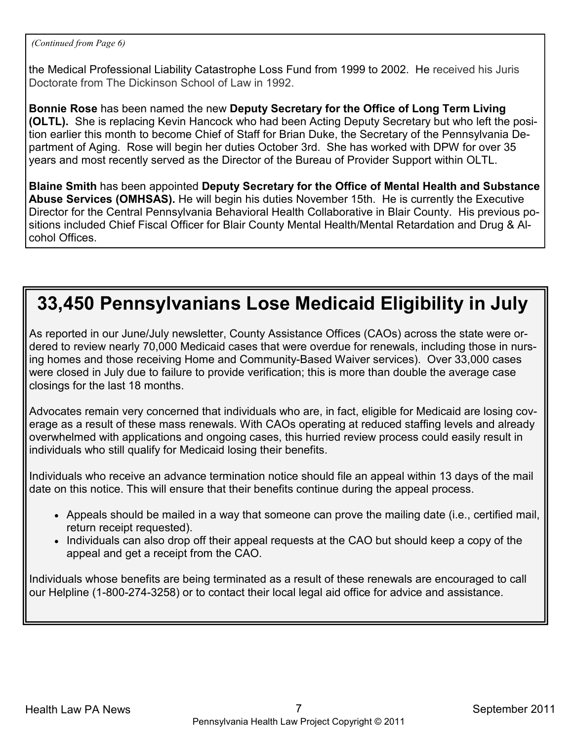*(Continued from Page 6)* 

the Medical Professional Liability Catastrophe Loss Fund from 1999 to 2002. He received his Juris Doctorate from The Dickinson School of Law in 1992.

**Bonnie Rose** has been named the new **Deputy Secretary for the Office of Long Term Living (OLTL).** She is replacing Kevin Hancock who had been Acting Deputy Secretary but who left the position earlier this month to become Chief of Staff for Brian Duke, the Secretary of the Pennsylvania Department of Aging. Rose will begin her duties October 3rd. She has worked with DPW for over 35 years and most recently served as the Director of the Bureau of Provider Support within OLTL.

**Blaine Smith** has been appointed **Deputy Secretary for the Office of Mental Health and Substance Abuse Services (OMHSAS).** He will begin his duties November 15th. He is currently the Executive Director for the Central Pennsylvania Behavioral Health Collaborative in Blair County. His previous positions included Chief Fiscal Officer for Blair County Mental Health/Mental Retardation and Drug & Alcohol Offices.

#### **33,450 Pennsylvanians Lose Medicaid Eligibility in July**

As reported in our June/July newsletter, County Assistance Offices (CAOs) across the state were ordered to review nearly 70,000 Medicaid cases that were overdue for renewals, including those in nursing homes and those receiving Home and Community-Based Waiver services). Over 33,000 cases were closed in July due to failure to provide verification; this is more than double the average case closings for the last 18 months.

Advocates remain very concerned that individuals who are, in fact, eligible for Medicaid are losing coverage as a result of these mass renewals. With CAOs operating at reduced staffing levels and already overwhelmed with applications and ongoing cases, this hurried review process could easily result in individuals who still qualify for Medicaid losing their benefits.

Individuals who receive an advance termination notice should file an appeal within 13 days of the mail date on this notice. This will ensure that their benefits continue during the appeal process.

- Appeals should be mailed in a way that someone can prove the mailing date (i.e., certified mail, return receipt requested).
- Individuals can also drop off their appeal requests at the CAO but should keep a copy of the appeal and get a receipt from the CAO.

Individuals whose benefits are being terminated as a result of these renewals are encouraged to call our Helpline (1-800-274-3258) or to contact their local legal aid office for advice and assistance.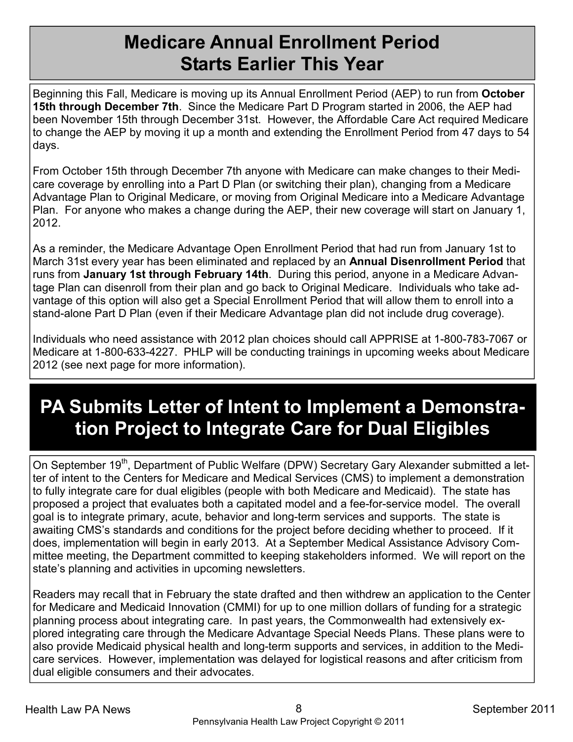#### **Medicare Annual Enrollment Period Starts Earlier This Year**

Beginning this Fall, Medicare is moving up its Annual Enrollment Period (AEP) to run from **October 15th through December 7th**. Since the Medicare Part D Program started in 2006, the AEP had been November 15th through December 31st. However, the Affordable Care Act required Medicare to change the AEP by moving it up a month and extending the Enrollment Period from 47 days to 54 days.

From October 15th through December 7th anyone with Medicare can make changes to their Medicare coverage by enrolling into a Part D Plan (or switching their plan), changing from a Medicare Advantage Plan to Original Medicare, or moving from Original Medicare into a Medicare Advantage Plan. For anyone who makes a change during the AEP, their new coverage will start on January 1, 2012.

As a reminder, the Medicare Advantage Open Enrollment Period that had run from January 1st to March 31st every year has been eliminated and replaced by an **Annual Disenrollment Period** that runs from **January 1st through February 14th**. During this period, anyone in a Medicare Advantage Plan can disenroll from their plan and go back to Original Medicare. Individuals who take advantage of this option will also get a Special Enrollment Period that will allow them to enroll into a stand-alone Part D Plan (even if their Medicare Advantage plan did not include drug coverage).

Individuals who need assistance with 2012 plan choices should call APPRISE at 1-800-783-7067 or Medicare at 1-800-633-4227. PHLP will be conducting trainings in upcoming weeks about Medicare 2012 (see next page for more information).

## **PA Submits Letter of Intent to Implement a Demonstration Project to Integrate Care for Dual Eligibles**

On September 19<sup>th</sup>, Department of Public Welfare (DPW) Secretary Gary Alexander submitted a letter of intent to the Centers for Medicare and Medical Services (CMS) to implement a demonstration to fully integrate care for dual eligibles (people with both Medicare and Medicaid). The state has proposed a project that evaluates both a capitated model and a fee-for-service model. The overall goal is to integrate primary, acute, behavior and long-term services and supports. The state is awaiting CMS's standards and conditions for the project before deciding whether to proceed. If it does, implementation will begin in early 2013. At a September Medical Assistance Advisory Committee meeting, the Department committed to keeping stakeholders informed. We will report on the state's planning and activities in upcoming newsletters.

Readers may recall that in February the state drafted and then withdrew an application to the Center for Medicare and Medicaid Innovation (CMMI) for up to one million dollars of funding for a strategic planning process about integrating care. In past years, the Commonwealth had extensively explored integrating care through the Medicare Advantage Special Needs Plans. These plans were to also provide Medicaid physical health and long-term supports and services, in addition to the Medicare services. However, implementation was delayed for logistical reasons and after criticism from dual eligible consumers and their advocates.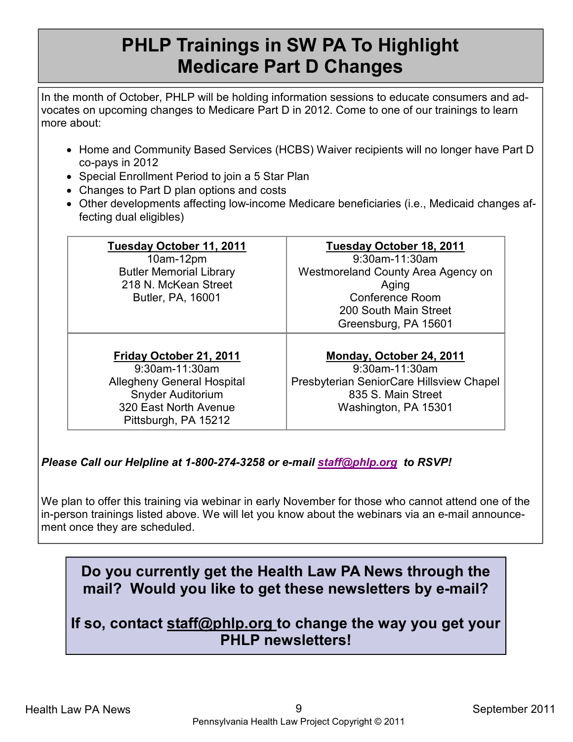#### **PHLP Trainings in SW PA To Highlight Medicare Part D Changes**

In the month of October, PHLP will be holding information sessions to educate consumers and advocates on upcoming changes to Medicare Part D in 2012. Come to one of our trainings to learn more about:

- Home and Community Based Services (HCBS) Waiver recipients will no longer have Part D co-pays in 2012
- Special Enrollment Period to join a 5 Star Plan
- Changes to Part D plan options and costs
- Other developments affecting low-income Medicare beneficiaries (i.e., Medicaid changes affecting dual eligibles)

| Tuesday October 11, 2011<br>10am-12pm<br><b>Butler Memorial Library</b><br>218 N. McKean Street<br>Butler, PA, 16001                                        | Tuesday October 18, 2011<br>9:30am-11:30am<br>Westmoreland County Area Agency on<br>Aging<br><b>Conference Room</b><br>200 South Main Street |
|-------------------------------------------------------------------------------------------------------------------------------------------------------------|----------------------------------------------------------------------------------------------------------------------------------------------|
|                                                                                                                                                             | Greensburg, PA 15601                                                                                                                         |
| Friday October 21, 2011<br>9:30am-11:30am<br><b>Allegheny General Hospital</b><br><b>Snyder Auditorium</b><br>320 East North Avenue<br>Pittsburgh, PA 15212 | Monday, October 24, 2011<br>9:30am-11:30am<br>Presbyterian SeniorCare Hillsview Chapel<br>835 S. Main Street<br>Washington, PA 15301         |

#### *Please Call our Helpline at 1-800-274-3258 or e-mail staff@phlp.org to RSVP!*

We plan to offer this training via webinar in early November for those who cannot attend one of the in-person trainings listed above. We will let you know about the webinars via an e-mail announcement once they are scheduled.

#### **Do you currently get the Health Law PA News through the mail? Would you like to get these newsletters by e-mail?**

**If so, contact staff@phlp.org to change the way you get your PHLP newsletters!**